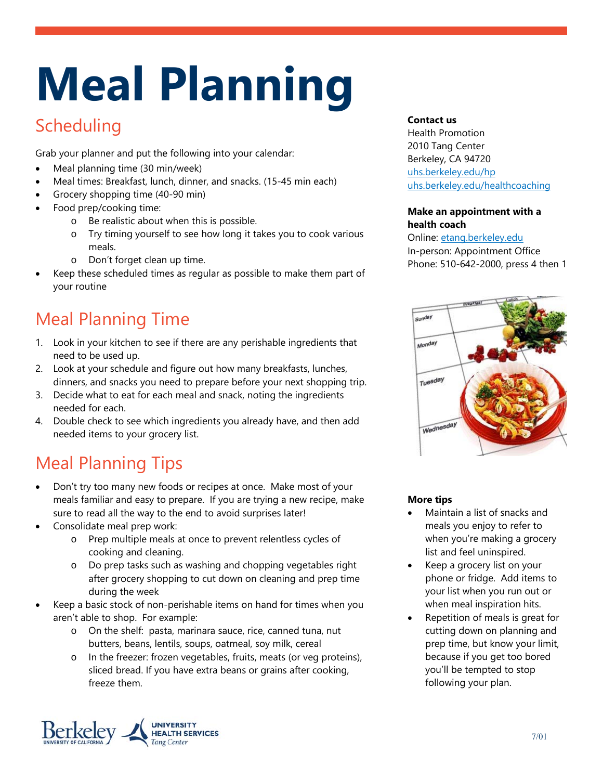# **Meal Planning**

### **Scheduling**

Grab your planner and put the following into your calendar:

- Meal planning time (30 min/week)
- Meal times: Breakfast, lunch, dinner, and snacks. (15-45 min each)
- Grocery shopping time (40-90 min)
- Food prep/cooking time:
	- o Be realistic about when this is possible.
	- o Try timing yourself to see how long it takes you to cook various meals.
	- o Don't forget clean up time.
- Keep these scheduled times as regular as possible to make them part of your routine

## Meal Planning Time

- 1. Look in your kitchen to see if there are any perishable ingredients that need to be used up.
- 2. Look at your schedule and figure out how many breakfasts, lunches, dinners, and snacks you need to prepare before your next shopping trip.
- 3. Decide what to eat for each meal and snack, noting the ingredients needed for each.
- 4. Double check to see which ingredients you already have, and then add needed items to your grocery list.

## Meal Planning Tips

- Don't try too many new foods or recipes at once. Make most of your meals familiar and easy to prepare. If you are trying a new recipe, make sure to read all the way to the end to avoid surprises later!
- Consolidate meal prep work:
	- o Prep multiple meals at once to prevent relentless cycles of cooking and cleaning.
	- o Do prep tasks such as washing and chopping vegetables right after grocery shopping to cut down on cleaning and prep time during the week
- Keep a basic stock of non-perishable items on hand for times when you aren't able to shop. For example:
	- o On the shelf: pasta, marinara sauce, rice, canned tuna, nut butters, beans, lentils, soups, oatmeal, soy milk, cereal
	- In the freezer: frozen vegetables, fruits, meats (or veg proteins), sliced bread. If you have extra beans or grains after cooking, freeze them.



#### **Contact us**

Health Promotion 2010 Tang Center Berkeley, CA 94720 uhs.berkeley.edu/hp uhs.berkeley.edu/healthcoaching

#### **Make an appointment with a health coach**

Online: etang.berkeley.edu In-person: Appointment Office Phone: 510-642-2000, press 4 then 1



#### **More tips**

- Maintain a list of snacks and meals you enjoy to refer to when you're making a grocery list and feel uninspired.
- Keep a grocery list on your phone or fridge. Add items to your list when you run out or when meal inspiration hits.
- Repetition of meals is great for cutting down on planning and prep time, but know your limit, because if you get too bored you'll be tempted to stop following your plan.